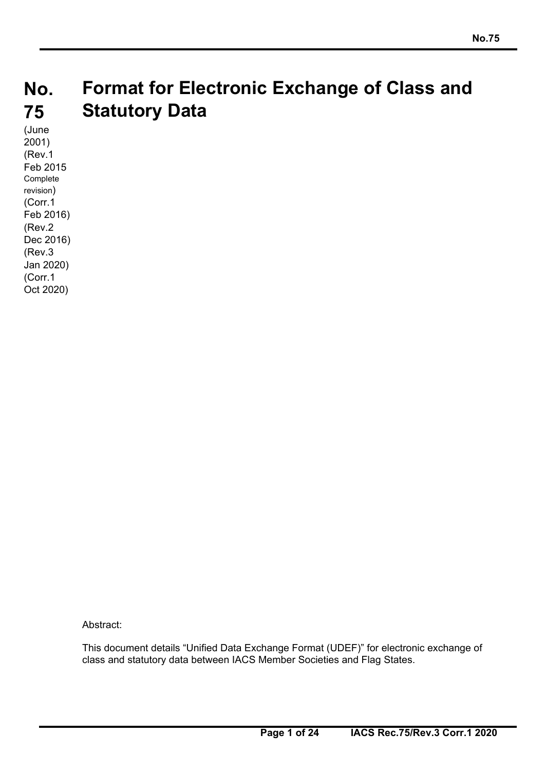#### **No. 75 Format for Electronic Exchange of Class and Statutory Data**

(June 2001) (Rev.1 Feb 2015 Complete revision) (Corr.1 Feb 2016) (Rev.2 Dec 2016) (Rev.3 Jan 2020) (Corr.1 Oct 2020)

Abstract:

This document details "Unified Data Exchange Format (UDEF)" for electronic exchange of class and statutory data between IACS Member Societies and Flag States.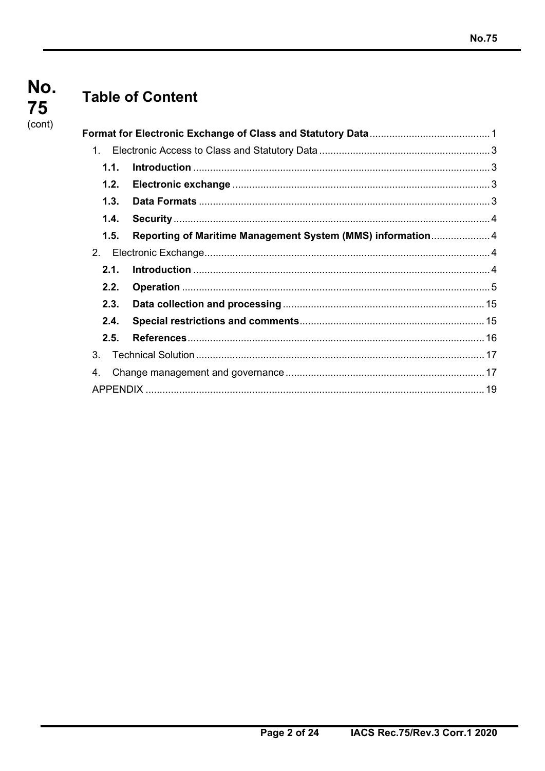## No. 75 (cont)

# **Table of Content**

| 1.             |                                                            |  |
|----------------|------------------------------------------------------------|--|
| 1.1.           |                                                            |  |
| 1.2.           |                                                            |  |
| 1.3.           |                                                            |  |
| 1.4.           |                                                            |  |
| 1.5.           | Reporting of Maritime Management System (MMS) information4 |  |
| 2 <sub>1</sub> |                                                            |  |
| 2.1.           |                                                            |  |
| 2.2.           |                                                            |  |
| 2.3.           |                                                            |  |
| 2.4.           |                                                            |  |
| 2.5.           |                                                            |  |
| 3.             |                                                            |  |
| 4.             |                                                            |  |
|                |                                                            |  |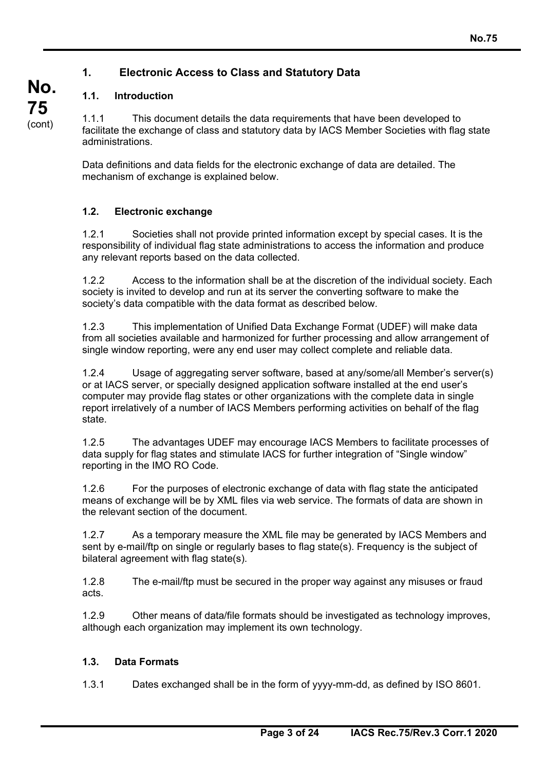### **1. Electronic Access to Class and Statutory Data**

### **1.1. Introduction**

**No.** 

**75**  (cont)

1.1.1 This document details the data requirements that have been developed to facilitate the exchange of class and statutory data by IACS Member Societies with flag state administrations.

Data definitions and data fields for the electronic exchange of data are detailed. The mechanism of exchange is explained below.

### **1.2. Electronic exchange**

1.2.1 Societies shall not provide printed information except by special cases. It is the responsibility of individual flag state administrations to access the information and produce any relevant reports based on the data collected.

1.2.2 Access to the information shall be at the discretion of the individual society. Each society is invited to develop and run at its server the converting software to make the society's data compatible with the data format as described below.

1.2.3 This implementation of Unified Data Exchange Format (UDEF) will make data from all societies available and harmonized for further processing and allow arrangement of single window reporting, were any end user may collect complete and reliable data.

1.2.4 Usage of aggregating server software, based at any/some/all Member's server(s) or at IACS server, or specially designed application software installed at the end user's computer may provide flag states or other organizations with the complete data in single report irrelatively of a number of IACS Members performing activities on behalf of the flag state.

1.2.5 The advantages UDEF may encourage IACS Members to facilitate processes of data supply for flag states and stimulate IACS for further integration of "Single window" reporting in the IMO RO Code.

1.2.6 For the purposes of electronic exchange of data with flag state the anticipated means of exchange will be by XML files via web service. The formats of data are shown in the relevant section of the document.

1.2.7 As a temporary measure the XML file may be generated by IACS Members and sent by e-mail/ftp on single or regularly bases to flag state(s). Frequency is the subject of bilateral agreement with flag state(s).

1.2.8 The e-mail/ftp must be secured in the proper way against any misuses or fraud acts.

1.2.9 Other means of data/file formats should be investigated as technology improves, although each organization may implement its own technology.

### **1.3. Data Formats**

1.3.1 Dates exchanged shall be in the form of yyyy-mm-dd, as defined by ISO 8601.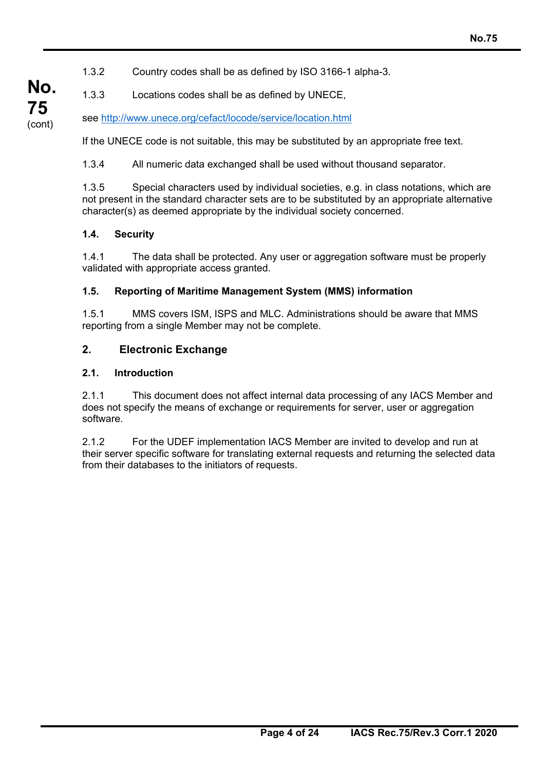### 1.3.2 Country codes shall be as defined by ISO 3166-1 alpha-3.

1.3.3 Locations codes shall be as defined by UNECE,

see http://www.unece.org/cefact/locode/service/location.html

If the UNECE code is not suitable, this may be substituted by an appropriate free text.

1.3.4 All numeric data exchanged shall be used without thousand separator.

1.3.5 Special characters used by individual societies, e.g. in class notations, which are not present in the standard character sets are to be substituted by an appropriate alternative character(s) as deemed appropriate by the individual society concerned.

### **1.4. Security**

1.4.1 The data shall be protected. Any user or aggregation software must be properly validated with appropriate access granted.

### **1.5. Reporting of Maritime Management System (MMS) information**

1.5.1 MMS covers ISM, ISPS and MLC. Administrations should be aware that MMS reporting from a single Member may not be complete.

### **2. Electronic Exchange**

### **2.1. Introduction**

2.1.1 This document does not affect internal data processing of any IACS Member and does not specify the means of exchange or requirements for server, user or aggregation software.

2.1.2 For the UDEF implementation IACS Member are invited to develop and run at their server specific software for translating external requests and returning the selected data from their databases to the initiators of requests.

**No. 75**  (cont)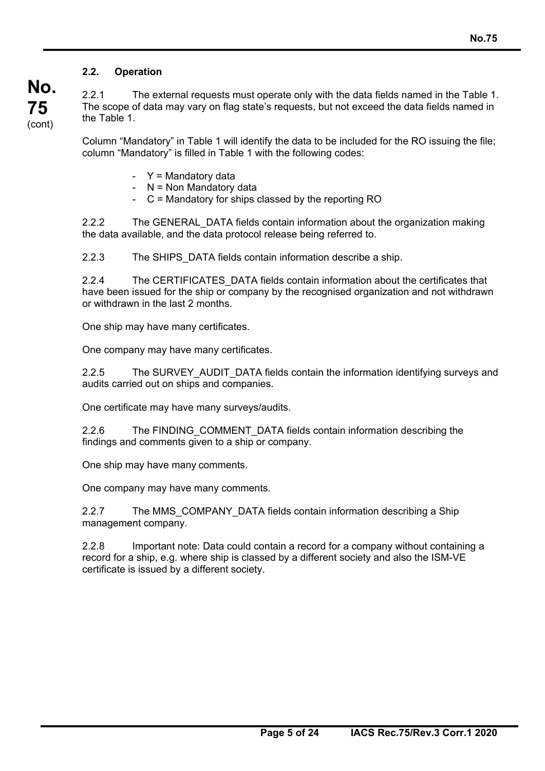### **2.2. Operation**

**No.** 

**75**  (cont) 2.2.1 The external requests must operate only with the data fields named in the Table 1. The scope of data may vary on flag state's requests, but not exceed the data fields named in the Table 1.

Column "Mandatory" in Table 1 will identify the data to be included for the RO issuing the file; column "Mandatory" is filled in Table 1 with the following codes:

- $Y =$  Mandatory data
- N = Non Mandatory data
- C = Mandatory for ships classed by the reporting RO

2.2.2 The GENERAL\_DATA fields contain information about the organization making the data available, and the data protocol release being referred to.

2.2.3 The SHIPS\_DATA fields contain information describe a ship.

2.2.4 The CERTIFICATES DATA fields contain information about the certificates that have been issued for the ship or company by the recognised organization and not withdrawn or withdrawn in the last 2 months.

One ship may have many certificates.

One company may have many certificates.

2.2.5 The SURVEY AUDIT DATA fields contain the information identifying surveys and audits carried out on ships and companies.

One certificate may have many surveys/audits.

2.2.6 The FINDING COMMENT DATA fields contain information describing the findings and comments given to a ship or company.

One ship may have many comments.

One company may have many comments.

2.2.7 The MMS\_COMPANY\_DATA fields contain information describing a Ship management company.

2.2.8 Important note: Data could contain a record for a company without containing a record for a ship, e.g. where ship is classed by a different society and also the ISM-VE certificate is issued by a different society.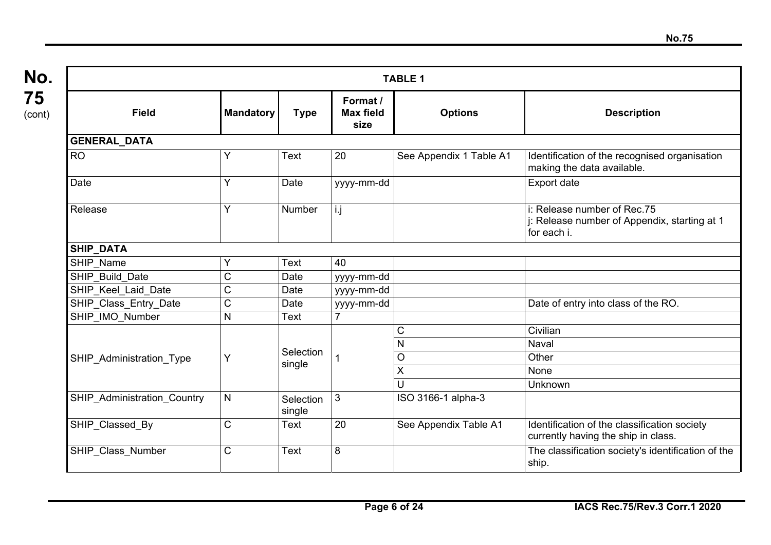| <b>TABLE 1</b>              |                  |                     |                                      |                         |                                                                                            |  |  |  |  |
|-----------------------------|------------------|---------------------|--------------------------------------|-------------------------|--------------------------------------------------------------------------------------------|--|--|--|--|
| <b>Field</b>                | <b>Mandatory</b> | <b>Type</b>         | Format /<br><b>Max field</b><br>size | <b>Options</b>          | <b>Description</b>                                                                         |  |  |  |  |
| <b>GENERAL_DATA</b>         |                  |                     |                                      |                         |                                                                                            |  |  |  |  |
| <b>RO</b>                   | ٧                | Text                | 20                                   | See Appendix 1 Table A1 | Identification of the recognised organisation<br>making the data available.                |  |  |  |  |
| Date                        | Υ                | Date                | yyyy-mm-dd                           |                         | Export date                                                                                |  |  |  |  |
| Release                     | Y                | Number              | i.j                                  |                         | i: Release number of Rec.75<br>j: Release number of Appendix, starting at 1<br>for each i. |  |  |  |  |
| SHIP_DATA                   |                  |                     |                                      |                         |                                                                                            |  |  |  |  |
| SHIP Name                   |                  | Text                | 40                                   |                         |                                                                                            |  |  |  |  |
| SHIP Build Date             | C                | Date                | yyyy-mm-dd                           |                         |                                                                                            |  |  |  |  |
| SHIP Keel Laid Date         | C                | Date                | yyyy-mm-dd                           |                         |                                                                                            |  |  |  |  |
| SHIP_Class_Entry_Date       | $\mathsf C$      | Date                | yyyy-mm-dd                           |                         | Date of entry into class of the RO.                                                        |  |  |  |  |
| SHIP_IMO_Number             | $\mathsf{N}$     | Text                | $\overline{7}$                       |                         |                                                                                            |  |  |  |  |
|                             |                  |                     |                                      | C                       | Civilian                                                                                   |  |  |  |  |
|                             |                  | Selection           |                                      | N                       | <b>Naval</b>                                                                               |  |  |  |  |
| SHIP Administration Type    | Y                | single              |                                      | O                       | Other                                                                                      |  |  |  |  |
|                             |                  |                     |                                      | $\overline{X}$          | None                                                                                       |  |  |  |  |
|                             |                  |                     |                                      | U                       | Unknown                                                                                    |  |  |  |  |
| SHIP_Administration_Country | $\mathsf{N}$     | Selection<br>single | $\mathfrak{Z}$                       | ISO 3166-1 alpha-3      |                                                                                            |  |  |  |  |
| SHIP Classed By             | C                | Text                | 20                                   | See Appendix Table A1   | Identification of the classification society<br>currently having the ship in class.        |  |  |  |  |
| SHIP_Class_Number           | C                | Text                | 8                                    |                         | The classification society's identification of the<br>ship.                                |  |  |  |  |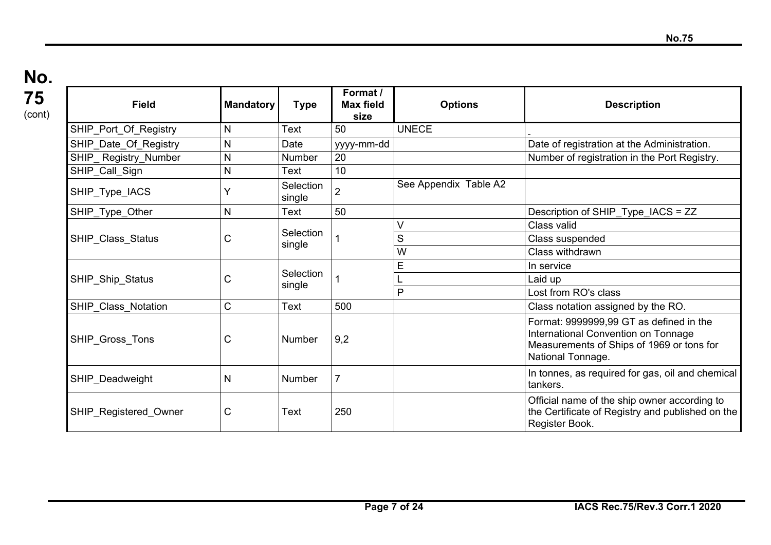### **No. 75**  (cont)

| <b>Field</b>          | <b>Mandatory</b> | <b>Type</b>                | Format /<br><b>Max field</b><br>size | <b>Options</b>        | <b>Description</b>                                                                                                                               |
|-----------------------|------------------|----------------------------|--------------------------------------|-----------------------|--------------------------------------------------------------------------------------------------------------------------------------------------|
| SHIP_Port_Of_Registry | N                | Text                       | 50                                   | <b>UNECE</b>          |                                                                                                                                                  |
| SHIP Date Of Registry | N                | Date                       | yyyy-mm-dd                           |                       | Date of registration at the Administration.                                                                                                      |
| SHIP Registry Number  | N                | Number                     | 20                                   |                       | Number of registration in the Port Registry.                                                                                                     |
| SHIP_Call_Sign        | N                | Text                       | 10                                   |                       |                                                                                                                                                  |
| SHIP_Type_IACS        |                  | Selection<br>single        | $\overline{2}$                       | See Appendix Table A2 |                                                                                                                                                  |
| SHIP_Type_Other       | N                | Text                       | 50                                   |                       | Description of SHIP_Type_IACS = ZZ                                                                                                               |
|                       |                  |                            |                                      |                       | Class valid                                                                                                                                      |
| SHIP_Class_Status     | С                | <b>Selection</b><br>single |                                      | S                     | Class suspended                                                                                                                                  |
|                       |                  |                            |                                      | W                     | Class withdrawn                                                                                                                                  |
|                       | С                | Selection<br>single        |                                      | E                     | In service                                                                                                                                       |
| SHIP_Ship_Status      |                  |                            |                                      |                       | Laid up                                                                                                                                          |
|                       |                  |                            |                                      | P                     | Lost from RO's class                                                                                                                             |
| SHIP Class Notation   | $\mathsf C$      | Text                       | 500                                  |                       | Class notation assigned by the RO.                                                                                                               |
| SHIP Gross Tons       | С                | <b>Number</b>              | 9,2                                  |                       | Format: 9999999,99 GT as defined in the<br>International Convention on Tonnage<br>Measurements of Ships of 1969 or tons for<br>National Tonnage. |
| SHIP_Deadweight       | N                | <b>Number</b>              | $\overline{7}$                       |                       | In tonnes, as required for gas, oil and chemical<br>tankers.                                                                                     |
| SHIP_Registered_Owner | C                | Text                       | 250                                  |                       | Official name of the ship owner according to<br>the Certificate of Registry and published on the<br>Register Book.                               |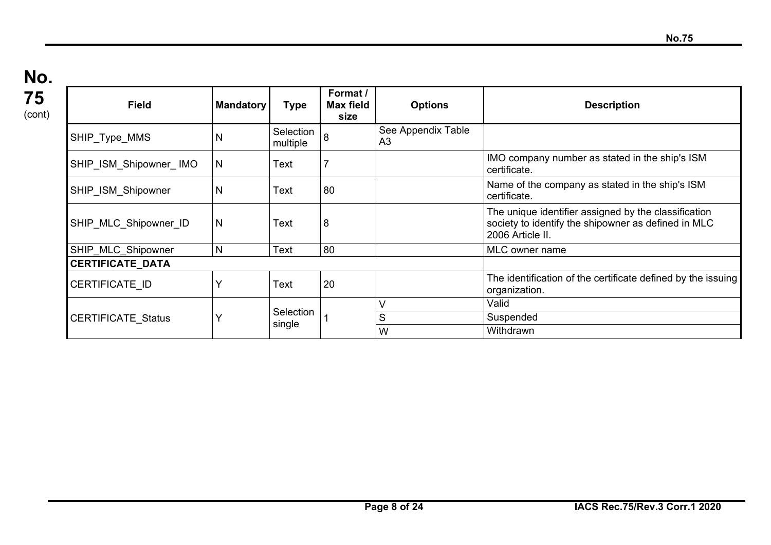| 75<br>(cont) | <b>Field</b>              | <b>Mandatory</b> | <b>Type</b>           | Format /<br><b>Max field</b><br>size | <b>Options</b>           | <b>Description</b>                                                                                                              |
|--------------|---------------------------|------------------|-----------------------|--------------------------------------|--------------------------|---------------------------------------------------------------------------------------------------------------------------------|
|              | SHIP_Type_MMS             | N                | Selection<br>multiple | 8                                    | See Appendix Table<br>A3 |                                                                                                                                 |
|              | SHIP ISM Shipowner IMO    | N                | Text                  |                                      |                          | IMO company number as stated in the ship's ISM<br>certificate.                                                                  |
|              | SHIP ISM Shipowner        | N                | Text                  | 80                                   |                          | Name of the company as stated in the ship's ISM<br>certificate.                                                                 |
|              | SHIP MLC Shipowner ID     | N                | Text                  | 8                                    |                          | The unique identifier assigned by the classification<br>society to identify the shipowner as defined in MLC<br>2006 Article II. |
|              | SHIP MLC Shipowner        | N                | Text                  | 80                                   |                          | MLC owner name                                                                                                                  |
|              | <b>CERTIFICATE DATA</b>   |                  |                       |                                      |                          |                                                                                                                                 |
|              | <b>CERTIFICATE ID</b>     |                  | Text                  | 20                                   |                          | The identification of the certificate defined by the issuing<br>organization.                                                   |
|              |                           |                  |                       |                                      |                          | Valid                                                                                                                           |
|              | <b>CERTIFICATE Status</b> |                  | Selection<br>single   |                                      | S                        | Suspended                                                                                                                       |
|              |                           |                  |                       |                                      | W                        | Withdrawn                                                                                                                       |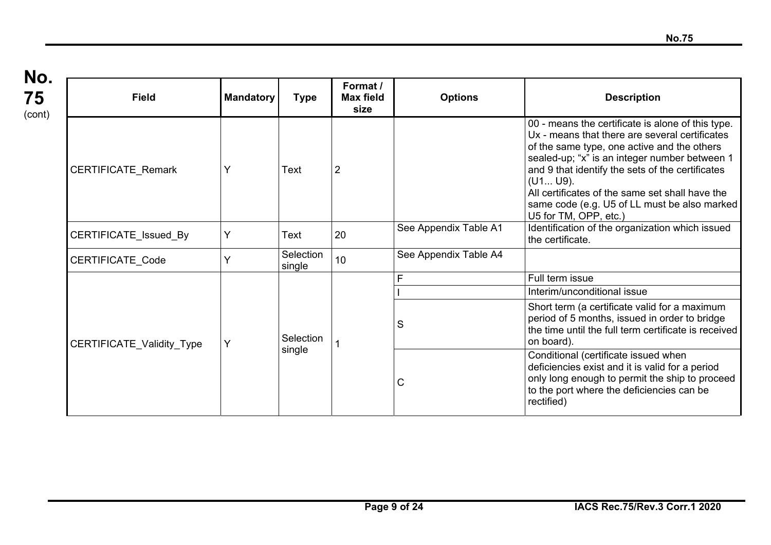**No. 75**  (cont)

| <b>Field</b>              | <b>Mandatory</b> | <b>Type</b>         | Format /<br><b>Max field</b><br>size | <b>Options</b>        | <b>Description</b>                                                                                                                                                                                                                                                                                                                                                                              |
|---------------------------|------------------|---------------------|--------------------------------------|-----------------------|-------------------------------------------------------------------------------------------------------------------------------------------------------------------------------------------------------------------------------------------------------------------------------------------------------------------------------------------------------------------------------------------------|
| CERTIFICATE_Remark        | Υ                | Text                | 2                                    |                       | 00 - means the certificate is alone of this type.<br>Ux - means that there are several certificates<br>of the same type, one active and the others<br>sealed-up; "x" is an integer number between 1<br>and 9 that identify the sets of the certificates<br>(U1 U9).<br>All certificates of the same set shall have the<br>same code (e.g. U5 of LL must be also marked<br>U5 for TM, OPP, etc.) |
| CERTIFICATE_Issued_By     | Y                | Text                | 20                                   | See Appendix Table A1 | Identification of the organization which issued<br>the certificate.                                                                                                                                                                                                                                                                                                                             |
| <b>CERTIFICATE Code</b>   | Y                | Selection<br>single | 10                                   | See Appendix Table A4 |                                                                                                                                                                                                                                                                                                                                                                                                 |
|                           |                  | Selection<br>single |                                      | F                     | Full term issue                                                                                                                                                                                                                                                                                                                                                                                 |
|                           |                  |                     |                                      |                       | Interim/unconditional issue                                                                                                                                                                                                                                                                                                                                                                     |
| CERTIFICATE_Validity_Type | Y                |                     |                                      | S                     | Short term (a certificate valid for a maximum<br>period of 5 months, issued in order to bridge<br>the time until the full term certificate is received<br>on board).                                                                                                                                                                                                                            |
|                           |                  |                     |                                      | $\mathsf{C}$          | Conditional (certificate issued when<br>deficiencies exist and it is valid for a period<br>only long enough to permit the ship to proceed<br>to the port where the deficiencies can be<br>rectified)                                                                                                                                                                                            |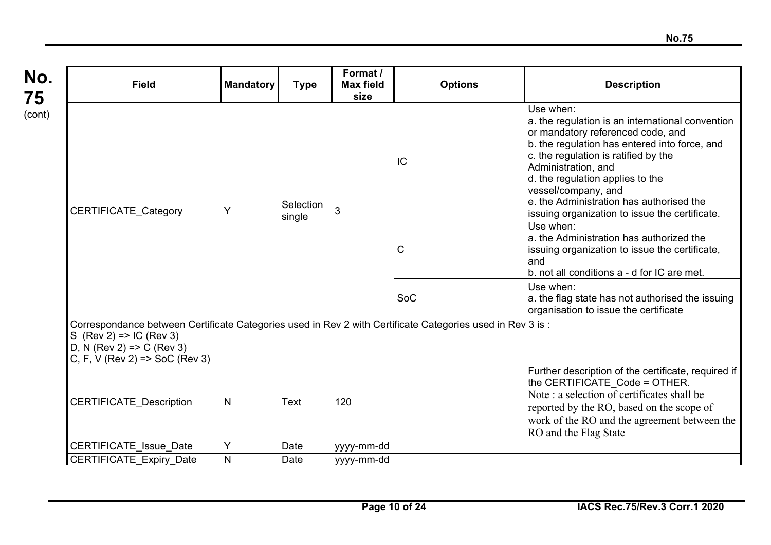| No.<br>75 | <b>Field</b>                                                                                                                                                                                                    | <b>Mandatory</b> | <b>Type</b>         | Format /<br><b>Max field</b><br>size | <b>Options</b> | <b>Description</b>                                                                                                                                                                                                                                                                                                                                                          |  |  |
|-----------|-----------------------------------------------------------------------------------------------------------------------------------------------------------------------------------------------------------------|------------------|---------------------|--------------------------------------|----------------|-----------------------------------------------------------------------------------------------------------------------------------------------------------------------------------------------------------------------------------------------------------------------------------------------------------------------------------------------------------------------------|--|--|
| (cont)    | CERTIFICATE_Category                                                                                                                                                                                            | Y                | Selection<br>single | 3                                    | IC             | Use when:<br>a. the regulation is an international convention<br>or mandatory referenced code, and<br>b. the regulation has entered into force, and<br>c. the regulation is ratified by the<br>Administration, and<br>d. the regulation applies to the<br>vessel/company, and<br>e, the Administration has authorised the<br>issuing organization to issue the certificate. |  |  |
|           |                                                                                                                                                                                                                 |                  |                     |                                      | C              | Use when:<br>a. the Administration has authorized the<br>issuing organization to issue the certificate,<br>and<br>b. not all conditions a - d for IC are met.                                                                                                                                                                                                               |  |  |
|           |                                                                                                                                                                                                                 |                  |                     |                                      | SoC            | Use when:<br>a. the flag state has not authorised the issuing<br>organisation to issue the certificate                                                                                                                                                                                                                                                                      |  |  |
|           | Correspondance between Certificate Categories used in Rev 2 with Certificate Categories used in Rev 3 is :<br>S $(Rev 2)$ => IC $(Rev 3)$<br>D, N $(Rev 2)$ => C $(Rev 3)$<br>C, F, V (Rev 2) = $>$ SoC (Rev 3) |                  |                     |                                      |                |                                                                                                                                                                                                                                                                                                                                                                             |  |  |
|           | <b>CERTIFICATE Description</b>                                                                                                                                                                                  | $\mathsf{N}$     | Text                | 120                                  |                | Further description of the certificate, required if<br>the CERTIFICATE Code = OTHER.<br>Note : a selection of certificates shall be<br>reported by the RO, based on the scope of<br>work of the RO and the agreement between the<br>RO and the Flag State                                                                                                                   |  |  |
|           | <b>CERTIFICATE Issue Date</b>                                                                                                                                                                                   | Y                | Date                | yyyy-mm-dd                           |                |                                                                                                                                                                                                                                                                                                                                                                             |  |  |
|           | <b>CERTIFICATE Expiry Date</b>                                                                                                                                                                                  | $\mathsf{N}$     | Date                | yyyy-mm-dd                           |                |                                                                                                                                                                                                                                                                                                                                                                             |  |  |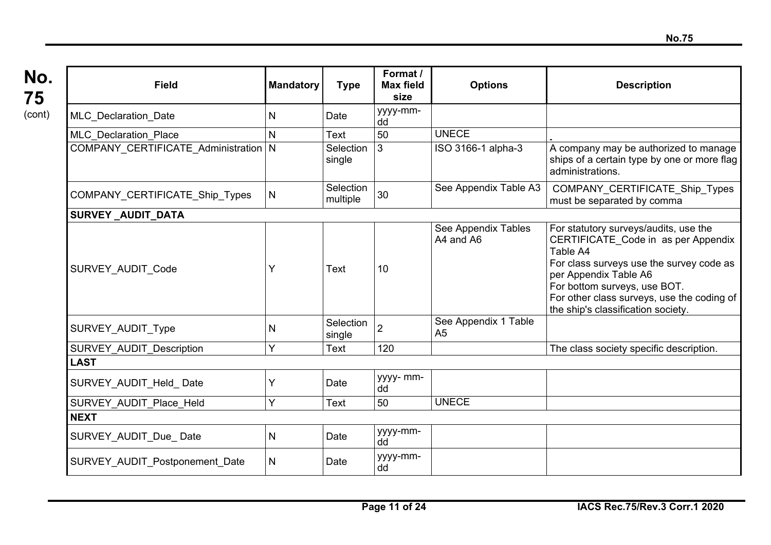| No.    |
|--------|
| 75     |
| (cont) |

H

| <b>Field</b>                           | <b>Mandatory</b> | <b>Type</b>           | Format /<br><b>Max field</b><br>size | <b>Options</b>                         | <b>Description</b>                                                                                                                                                                                                                                                                |  |
|----------------------------------------|------------------|-----------------------|--------------------------------------|----------------------------------------|-----------------------------------------------------------------------------------------------------------------------------------------------------------------------------------------------------------------------------------------------------------------------------------|--|
| <b>MLC</b> Declaration Date            | N                | Date                  | yyyy-mm-<br>dd                       |                                        |                                                                                                                                                                                                                                                                                   |  |
| <b>MLC Declaration Place</b>           | N                | Text                  | 50                                   | <b>UNECE</b>                           |                                                                                                                                                                                                                                                                                   |  |
| COMPANY_CERTIFICATE_Administration   N |                  | Selection<br>single   | 3                                    | ISO 3166-1 alpha-3                     | A company may be authorized to manage<br>ships of a certain type by one or more flag<br>administrations.                                                                                                                                                                          |  |
| COMPANY_CERTIFICATE_Ship_Types         | N                | Selection<br>multiple | 30                                   | See Appendix Table A3                  | COMPANY CERTIFICATE Ship Types<br>must be separated by comma                                                                                                                                                                                                                      |  |
| SURVEY_AUDIT_DATA                      |                  |                       |                                      |                                        |                                                                                                                                                                                                                                                                                   |  |
| SURVEY AUDIT Code                      | Y                | Text                  | 10                                   | See Appendix Tables<br>A4 and A6       | For statutory surveys/audits, use the<br>CERTIFICATE Code in as per Appendix<br>Table A4<br>For class surveys use the survey code as<br>per Appendix Table A6<br>For bottom surveys, use BOT.<br>For other class surveys, use the coding of<br>the ship's classification society. |  |
| SURVEY AUDIT Type                      | N                | Selection<br>single   | $\overline{2}$                       | See Appendix 1 Table<br>A <sub>5</sub> |                                                                                                                                                                                                                                                                                   |  |
| <b>SURVEY AUDIT Description</b>        | Y                | Text                  | 120                                  |                                        | The class society specific description.                                                                                                                                                                                                                                           |  |
| <b>LAST</b>                            |                  |                       |                                      |                                        |                                                                                                                                                                                                                                                                                   |  |
| SURVEY AUDIT Held Date                 | Y                | Date                  | yyyy- mm-<br>dd                      |                                        |                                                                                                                                                                                                                                                                                   |  |
| SURVEY AUDIT Place Held                | Y                | Text                  | 50                                   | <b>UNECE</b>                           |                                                                                                                                                                                                                                                                                   |  |
| <b>NEXT</b>                            |                  |                       |                                      |                                        |                                                                                                                                                                                                                                                                                   |  |
| SURVEY AUDIT Due Date                  | $\mathsf{N}$     | Date                  | yyyy-mm-<br>dd                       |                                        |                                                                                                                                                                                                                                                                                   |  |
| SURVEY AUDIT Postponement Date         | $\mathsf{N}$     | Date                  | yyyy-mm-<br>dd                       |                                        |                                                                                                                                                                                                                                                                                   |  |

 $\mathbf{I}$ 

Ш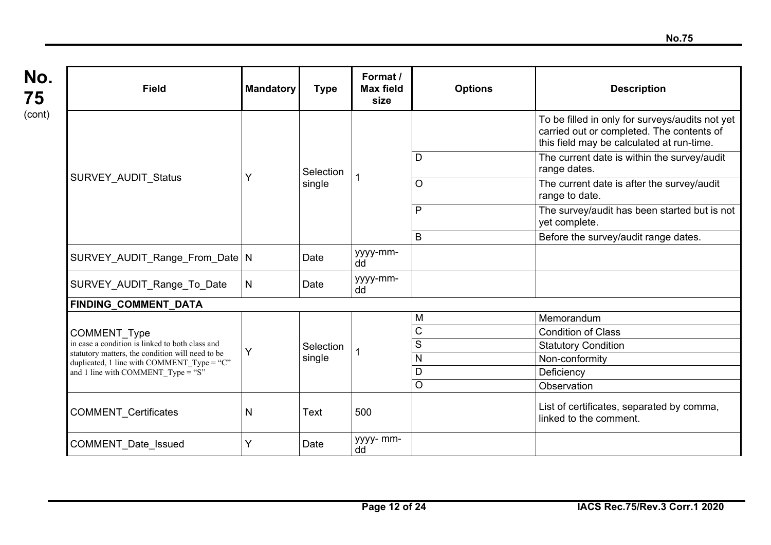**No. 75**  (cont)

| <b>Field</b>                                                                                       | <b>Mandatory</b> | <b>Type</b> | Format /<br><b>Max field</b><br>size | <b>Options</b> | <b>Description</b>                                                                                                                        |
|----------------------------------------------------------------------------------------------------|------------------|-------------|--------------------------------------|----------------|-------------------------------------------------------------------------------------------------------------------------------------------|
|                                                                                                    |                  |             |                                      |                | To be filled in only for surveys/audits not yet<br>carried out or completed. The contents of<br>this field may be calculated at run-time. |
|                                                                                                    |                  | Selection   |                                      | D              | The current date is within the survey/audit<br>range dates.                                                                               |
| <b>SURVEY AUDIT Status</b>                                                                         | Y                | single      |                                      | O              | The current date is after the survey/audit<br>range to date.                                                                              |
|                                                                                                    |                  |             |                                      | P              | The survey/audit has been started but is not<br>yet complete.                                                                             |
|                                                                                                    |                  |             |                                      | B              | Before the survey/audit range dates.                                                                                                      |
| SURVEY AUDIT Range From Date N                                                                     |                  | Date        | yyyy-mm-<br>dd                       |                |                                                                                                                                           |
| SURVEY AUDIT Range To Date                                                                         | N                | Date        | yyyy-mm-<br>dd                       |                |                                                                                                                                           |
| <b>FINDING COMMENT DATA</b>                                                                        |                  |             |                                      |                |                                                                                                                                           |
|                                                                                                    |                  |             |                                      | M              | Memorandum                                                                                                                                |
| <b>COMMENT Type</b>                                                                                |                  |             |                                      | C              | <b>Condition of Class</b>                                                                                                                 |
| in case a condition is linked to both class and                                                    | Y                | Selection   |                                      | S              | <b>Statutory Condition</b>                                                                                                                |
| statutory matters, the condition will need to be<br>duplicated, 1 line with COMMENT Type = " $C$ " |                  | single      |                                      | N              | Non-conformity                                                                                                                            |
| and 1 line with COMMENT Type = "S"                                                                 |                  |             |                                      | D              | Deficiency                                                                                                                                |
|                                                                                                    |                  |             |                                      | O              | Observation                                                                                                                               |
| <b>COMMENT Certificates</b>                                                                        | N                | Text        | 500                                  |                | List of certificates, separated by comma,<br>linked to the comment.                                                                       |
| <b>COMMENT Date Issued</b>                                                                         | Y                | Date        | yyyy- mm-<br>dd                      |                |                                                                                                                                           |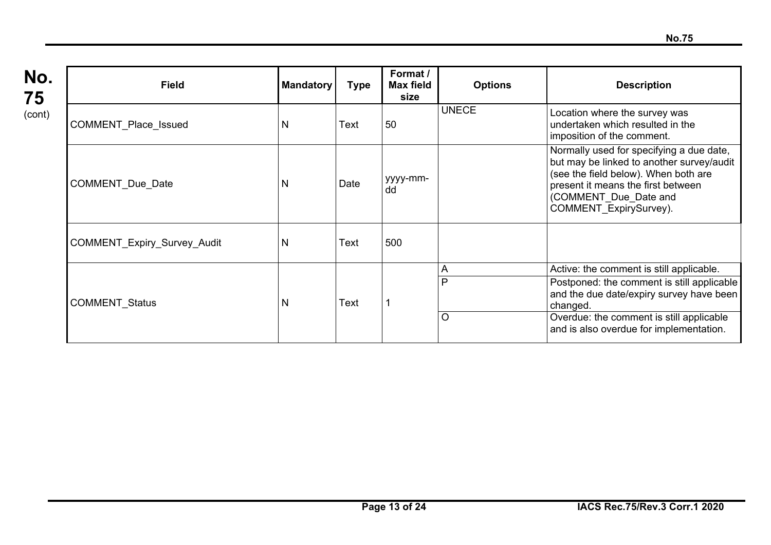| No.    |
|--------|
| 75     |
| (cont) |

| <b>Field</b>                | <b>Mandatory</b> | <b>Type</b> | Format /<br>Max field<br>size | <b>Options</b>    | <b>Description</b>                                                                                                                                                                                                                    |
|-----------------------------|------------------|-------------|-------------------------------|-------------------|---------------------------------------------------------------------------------------------------------------------------------------------------------------------------------------------------------------------------------------|
| COMMENT_Place_Issued        | N                | Text        | 50                            | <b>UNECE</b>      | Location where the survey was<br>undertaken which resulted in the<br>imposition of the comment.                                                                                                                                       |
| <b>COMMENT Due Date</b>     | N                | Date        | yyyy-mm-<br>dd                |                   | Normally used for specifying a due date,<br>but may be linked to another survey/audit<br>(see the field below). When both are<br>present it means the first between<br>(COMMENT Due Date and<br>COMMENT ExpirySurvey).                |
| COMMENT_Expiry_Survey_Audit | N                | Text        | 500                           |                   |                                                                                                                                                                                                                                       |
| <b>COMMENT Status</b>       | N                | Text        |                               | A<br>P<br>$\circ$ | Active: the comment is still applicable.<br>Postponed: the comment is still applicable<br>and the due date/expiry survey have been<br>changed.<br>Overdue: the comment is still applicable<br>and is also overdue for implementation. |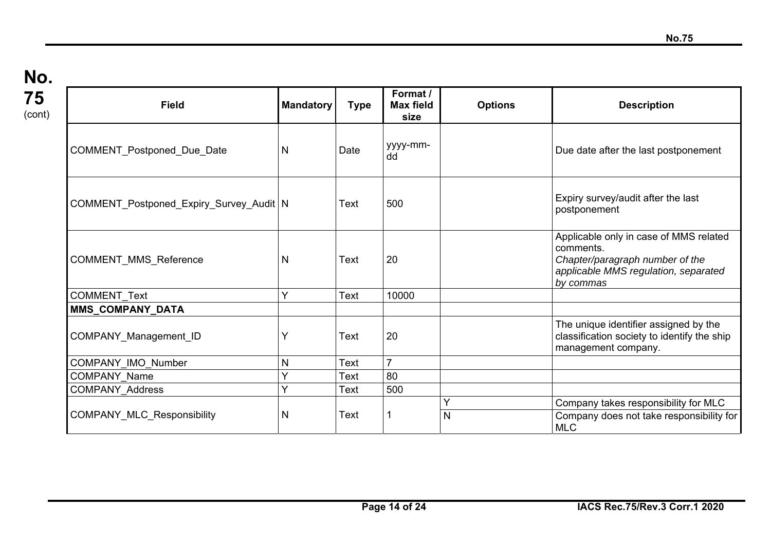| <b>Field</b>                              | <b>Mandatory</b> | <b>Type</b> | Format /<br><b>Max field</b><br>size | <b>Options</b> | <b>Description</b>                                                                                                                          |
|-------------------------------------------|------------------|-------------|--------------------------------------|----------------|---------------------------------------------------------------------------------------------------------------------------------------------|
| COMMENT_Postponed_Due_Date                | N                | Date        | yyyy-mm-<br>dd                       |                | Due date after the last postponement                                                                                                        |
| COMMENT_Postponed_Expiry_Survey_Audit   N |                  | Text        | 500                                  |                | Expiry survey/audit after the last<br>postponement                                                                                          |
| COMMENT_MMS_Reference                     | N                | <b>Text</b> | 20                                   |                | Applicable only in case of MMS related<br>comments.<br>Chapter/paragraph number of the<br>applicable MMS regulation, separated<br>by commas |
| <b>COMMENT Text</b>                       | Y                | Text        | 10000                                |                |                                                                                                                                             |
| MMS_COMPANY_DATA                          |                  |             |                                      |                |                                                                                                                                             |
| COMPANY_Management_ID                     |                  | <b>Text</b> | 20                                   |                | The unique identifier assigned by the<br>classification society to identify the ship<br>management company.                                 |
| COMPANY IMO Number                        | $\mathsf{N}$     | Text        | $\overline{7}$                       |                |                                                                                                                                             |
| <b>COMPANY Name</b>                       | Ý                | Text        | 80                                   |                |                                                                                                                                             |
| <b>COMPANY Address</b>                    | Ý                | Text        | 500                                  |                |                                                                                                                                             |
| <b>COMPANY_MLC_Responsibility</b>         | N                | Text        |                                      | N              | Company takes responsibility for MLC<br>Company does not take responsibility for<br><b>MLC</b>                                              |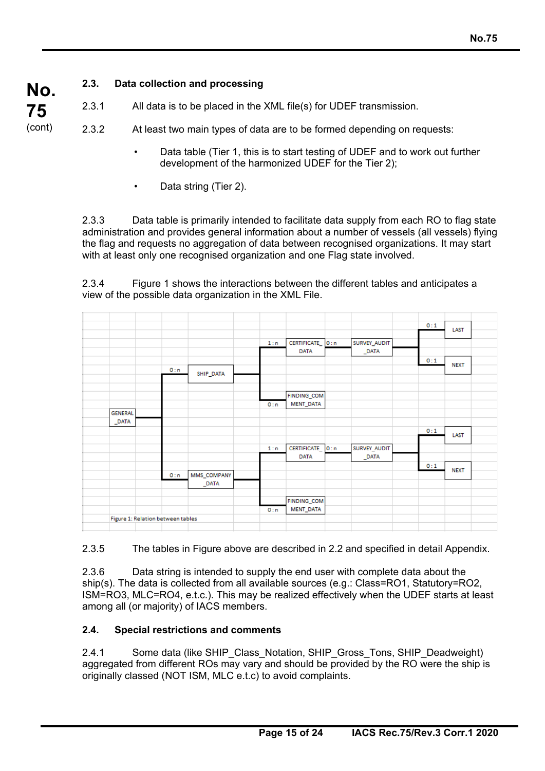### **2.3. Data collection and processing**

2.3.1 All data is to be placed in the XML file(s) for UDEF transmission.

2.3.2 At least two main types of data are to be formed depending on requests:

- Data table (Tier 1, this is to start testing of UDEF and to work out further development of the harmonized UDEF for the Tier 2);
- Data string (Tier 2).

2.3.3 Data table is primarily intended to facilitate data supply from each RO to flag state administration and provides general information about a number of vessels (all vessels) flying the flag and requests no aggregation of data between recognised organizations. It may start with at least only one recognised organization and one Flag state involved.

2.3.4 Figure 1 shows the interactions between the different tables and anticipates a view of the possible data organization in the XML File.

|                                   |     |             |     |                  |              | 0:1 | LAST        |
|-----------------------------------|-----|-------------|-----|------------------|--------------|-----|-------------|
|                                   |     |             | 1:n | CERTIFICATE_ 0:n | SURVEY_AUDIT |     |             |
|                                   |     |             |     | <b>DATA</b>      | $\_$ DATA    |     |             |
|                                   |     |             |     |                  |              | 0:1 |             |
|                                   | 0:n |             |     |                  |              |     | <b>NEXT</b> |
|                                   |     | SHIP_DATA   |     |                  |              |     |             |
|                                   |     |             |     |                  |              |     |             |
|                                   |     |             |     | FINDING_COM      |              |     |             |
|                                   |     |             | 0:n | MENT_DATA        |              |     |             |
| <b>GENERAL</b>                    |     |             |     |                  |              |     |             |
| $\_$ DATA                         |     |             |     |                  |              |     |             |
|                                   |     |             |     |                  |              | 0:1 | LAST        |
|                                   |     |             |     |                  |              |     |             |
|                                   |     |             | 1:n | CERTIFICATE_ 0:n | SURVEY_AUDIT |     |             |
|                                   |     |             |     | <b>DATA</b>      | $\_$ DATA    |     |             |
|                                   |     |             |     |                  |              | 0:1 | <b>NEXT</b> |
|                                   | 0:n | MMS_COMPANY |     |                  |              |     |             |
|                                   |     | $\_$ DATA   |     |                  |              |     |             |
|                                   |     |             |     |                  |              |     |             |
|                                   |     |             |     | FINDING_COM      |              |     |             |
|                                   |     |             | 0:n | MENT_DATA        |              |     |             |
| Figure 1: Relation between tables |     |             |     |                  |              |     |             |

2.3.5 The tables in Figure above are described in 2.2 and specified in detail Appendix.

2.3.6 Data string is intended to supply the end user with complete data about the ship(s). The data is collected from all available sources (e.g.: Class=RO1, Statutory=RO2, ISM=RO3, MLC=RO4, e.t.c.). This may be realized effectively when the UDEF starts at least among all (or majority) of IACS members.

### **2.4. Special restrictions and comments**

2.4.1 Some data (like SHIP\_Class\_Notation, SHIP\_Gross\_Tons, SHIP\_Deadweight) aggregated from different ROs may vary and should be provided by the RO were the ship is originally classed (NOT ISM, MLC e.t.c) to avoid complaints.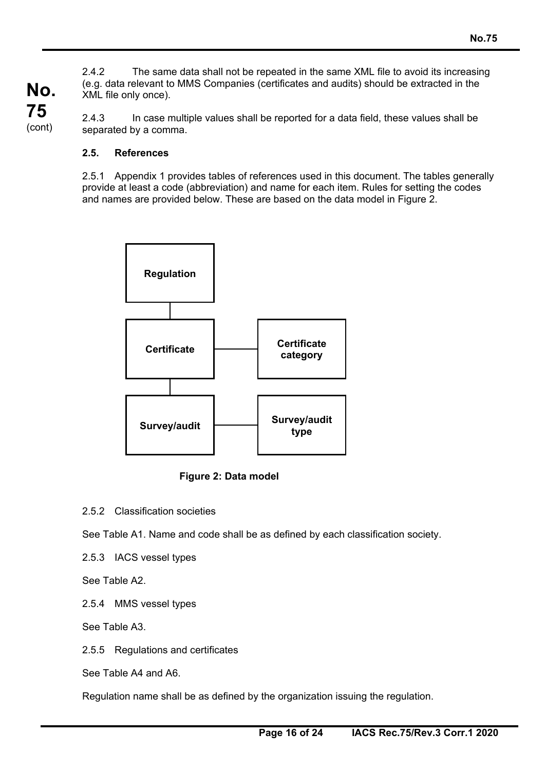2.4.2 The same data shall not be repeated in the same XML file to avoid its increasing (e.g. data relevant to MMS Companies (certificates and audits) should be extracted in the XML file only once).

2.4.3 In case multiple values shall be reported for a data field, these values shall be separated by a comma.

### **2.5. References**

**No.** 

**75**  (cont)

> 2.5.1 Appendix 1 provides tables of references used in this document. The tables generally provide at least a code (abbreviation) and name for each item. Rules for setting the codes and names are provided below. These are based on the data model in Figure 2.



**Figure 2: Data model** 

2.5.2 Classification societies

See Table A1. Name and code shall be as defined by each classification society.

2.5.3 IACS vessel types

See Table A2.

2.5.4 MMS vessel types

See Table A3.

2.5.5 Regulations and certificates

See Table A4 and A6.

Regulation name shall be as defined by the organization issuing the regulation.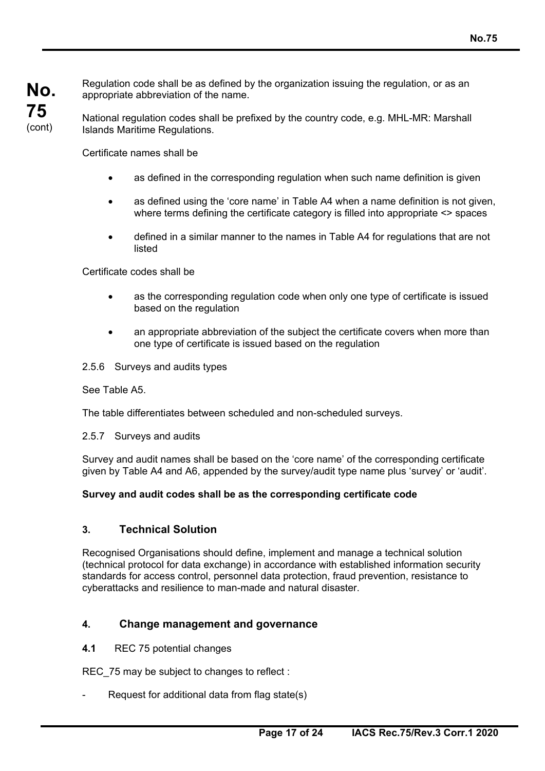Regulation code shall be as defined by the organization issuing the regulation, or as an appropriate abbreviation of the name.

National regulation codes shall be prefixed by the country code, e.g. MHL-MR: Marshall Islands Maritime Regulations.

Certificate names shall be

- as defined in the corresponding regulation when such name definition is given
- as defined using the 'core name' in Table A4 when a name definition is not given, where terms defining the certificate category is filled into appropriate <> spaces
- defined in a similar manner to the names in Table A4 for regulations that are not listed

Certificate codes shall be

- as the corresponding regulation code when only one type of certificate is issued based on the regulation
- an appropriate abbreviation of the subject the certificate covers when more than one type of certificate is issued based on the regulation
- 2.5.6 Surveys and audits types

See Table A5.

The table differentiates between scheduled and non-scheduled surveys.

2.5.7 Surveys and audits

Survey and audit names shall be based on the 'core name' of the corresponding certificate given by Table A4 and A6, appended by the survey/audit type name plus 'survey' or 'audit'.

### **Survey and audit codes shall be as the corresponding certificate code**

### **3. Technical Solution**

Recognised Organisations should define, implement and manage a technical solution (technical protocol for data exchange) in accordance with established information security standards for access control, personnel data protection, fraud prevention, resistance to cyberattacks and resilience to man-made and natural disaster.

### **4. Change management and governance**

**4.1** REC 75 potential changes

REC 75 may be subject to changes to reflect :

Request for additional data from flag state $(s)$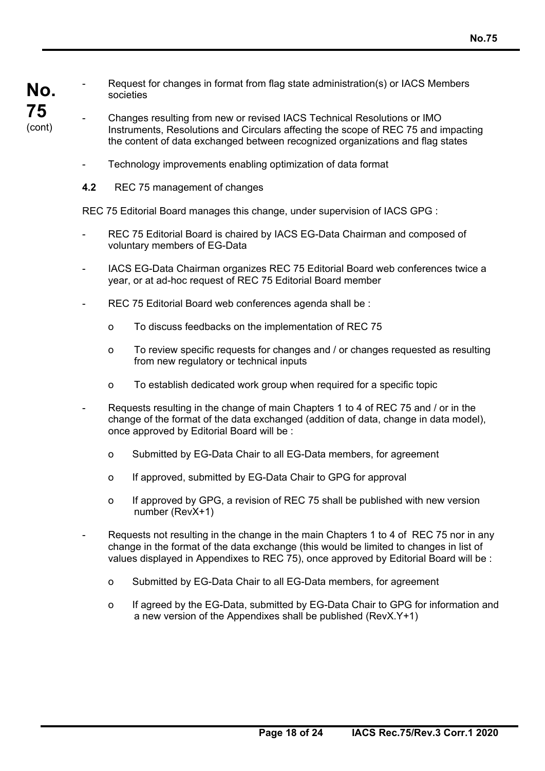- **No. 75**  (cont)
- Request for changes in format from flag state administration(s) or IACS Members societies
- Changes resulting from new or revised IACS Technical Resolutions or IMO Instruments, Resolutions and Circulars affecting the scope of REC 75 and impacting the content of data exchanged between recognized organizations and flag states
	- Technology improvements enabling optimization of data format
	- **4.2** REC 75 management of changes

REC 75 Editorial Board manages this change, under supervision of IACS GPG :

- REC 75 Editorial Board is chaired by IACS EG-Data Chairman and composed of voluntary members of EG-Data
- IACS EG-Data Chairman organizes REC 75 Editorial Board web conferences twice a year, or at ad-hoc request of REC 75 Editorial Board member
- REC 75 Editorial Board web conferences agenda shall be :
	- o To discuss feedbacks on the implementation of REC 75
	- o To review specific requests for changes and / or changes requested as resulting from new regulatory or technical inputs
	- o To establish dedicated work group when required for a specific topic
- Requests resulting in the change of main Chapters 1 to 4 of REC 75 and / or in the change of the format of the data exchanged (addition of data, change in data model), once approved by Editorial Board will be :
	- o Submitted by EG-Data Chair to all EG-Data members, for agreement
	- o If approved, submitted by EG-Data Chair to GPG for approval
	- o If approved by GPG, a revision of REC 75 shall be published with new version number (RevX+1)
- Requests not resulting in the change in the main Chapters 1 to 4 of REC 75 nor in any change in the format of the data exchange (this would be limited to changes in list of values displayed in Appendixes to REC 75), once approved by Editorial Board will be :
	- o Submitted by EG-Data Chair to all EG-Data members, for agreement
	- o If agreed by the EG-Data, submitted by EG-Data Chair to GPG for information and a new version of the Appendixes shall be published (RevX.Y+1)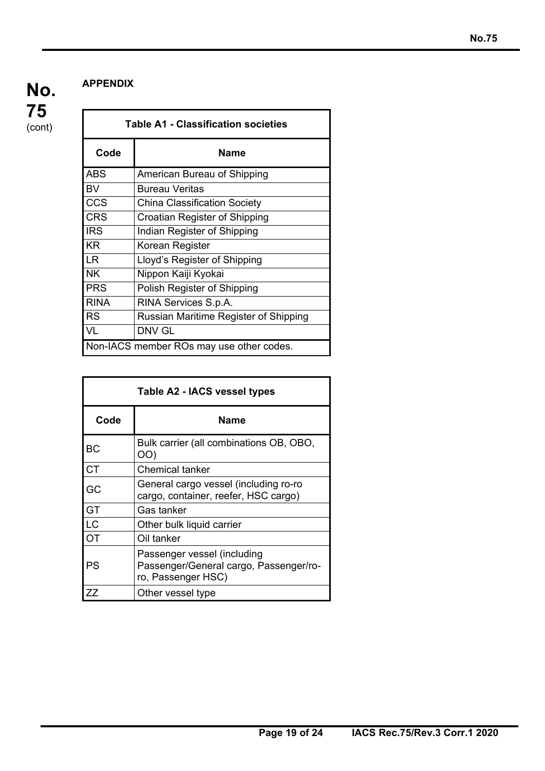### **APPENDIX**

**75**  (cont)

**No.** 

| <b>Table A1 - Classification societies</b> |                                       |  |  |  |
|--------------------------------------------|---------------------------------------|--|--|--|
| Code                                       | Name                                  |  |  |  |
| <b>ABS</b>                                 | American Bureau of Shipping           |  |  |  |
| <b>BV</b>                                  | <b>Bureau Veritas</b>                 |  |  |  |
| CCS                                        | <b>China Classification Society</b>   |  |  |  |
| <b>CRS</b>                                 | Croatian Register of Shipping         |  |  |  |
| <b>IRS</b>                                 | Indian Register of Shipping           |  |  |  |
| <b>KR</b>                                  | Korean Register                       |  |  |  |
| ILR                                        | Lloyd's Register of Shipping          |  |  |  |
| <b>NK</b>                                  | Nippon Kaiji Kyokai                   |  |  |  |
| <b>PRS</b>                                 | Polish Register of Shipping           |  |  |  |
| RINA                                       | RINA Services S.p.A.                  |  |  |  |
| <b>I</b> RS                                | Russian Maritime Register of Shipping |  |  |  |
| <b>VL</b>                                  | DNV GL                                |  |  |  |
| Non-IACS member ROs may use other codes.   |                                       |  |  |  |

| Table A2 - IACS vessel types |                                                                                             |  |  |  |
|------------------------------|---------------------------------------------------------------------------------------------|--|--|--|
| Code                         | Name                                                                                        |  |  |  |
| <b>BC</b>                    | Bulk carrier (all combinations OB, OBO,<br>OO)                                              |  |  |  |
| <b>CT</b>                    | <b>Chemical tanker</b>                                                                      |  |  |  |
| GC                           | General cargo vessel (including ro-ro<br>cargo, container, reefer, HSC cargo)               |  |  |  |
| GT                           | Gas tanker                                                                                  |  |  |  |
| $\overline{\text{LC}}$       | Other bulk liquid carrier                                                                   |  |  |  |
| <b>OT</b>                    | Oil tanker                                                                                  |  |  |  |
| PS                           | Passenger vessel (including<br>Passenger/General cargo, Passenger/ro-<br>ro, Passenger HSC) |  |  |  |
| ZZ                           | Other vessel type                                                                           |  |  |  |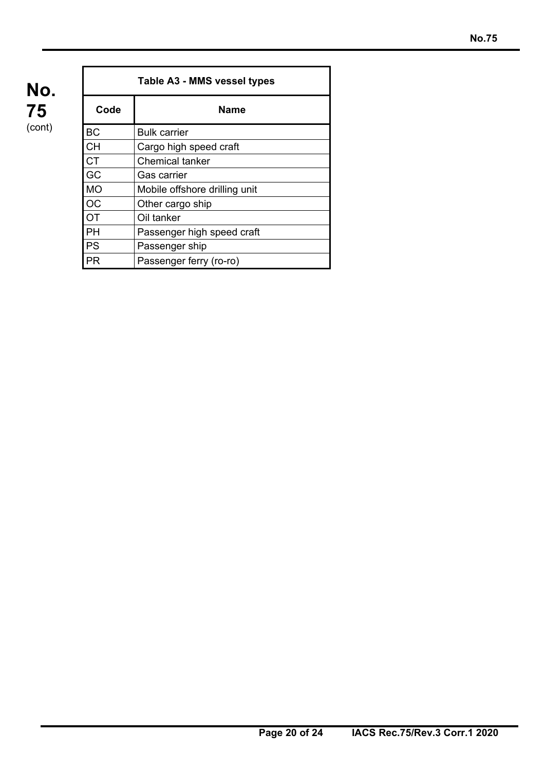| Table A3 - MMS vessel types |                               |  |  |  |  |
|-----------------------------|-------------------------------|--|--|--|--|
| Code                        | <b>Name</b>                   |  |  |  |  |
| <b>BC</b>                   | <b>Bulk carrier</b>           |  |  |  |  |
| <b>CH</b>                   | Cargo high speed craft        |  |  |  |  |
| <b>CT</b>                   | <b>Chemical tanker</b>        |  |  |  |  |
| GC                          | Gas carrier                   |  |  |  |  |
| <b>MO</b>                   | Mobile offshore drilling unit |  |  |  |  |
| <b>OC</b>                   | Other cargo ship              |  |  |  |  |
| OT                          | Oil tanker                    |  |  |  |  |
| PH                          | Passenger high speed craft    |  |  |  |  |
| <b>PS</b>                   | Passenger ship                |  |  |  |  |
| PR                          | Passenger ferry (ro-ro)       |  |  |  |  |

**75**  (cont)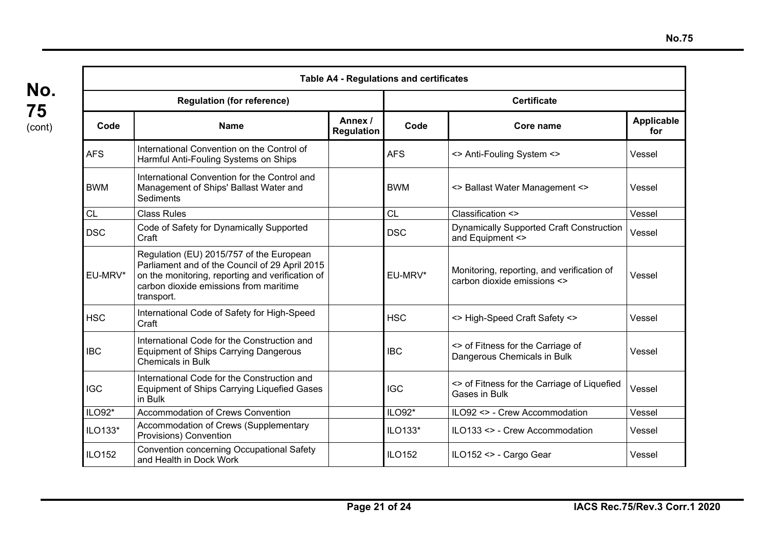|                                   | <b>Table A4 - Regulations and certificates</b>                                                                                                                                                         |                              |                    |                                                                           |                          |  |  |
|-----------------------------------|--------------------------------------------------------------------------------------------------------------------------------------------------------------------------------------------------------|------------------------------|--------------------|---------------------------------------------------------------------------|--------------------------|--|--|
| <b>Regulation (for reference)</b> |                                                                                                                                                                                                        |                              | <b>Certificate</b> |                                                                           |                          |  |  |
| Code<br><b>Name</b>               |                                                                                                                                                                                                        | Annex /<br><b>Regulation</b> | Code               | Core name                                                                 | <b>Applicable</b><br>for |  |  |
| <b>AFS</b>                        | International Convention on the Control of<br>Harmful Anti-Fouling Systems on Ships                                                                                                                    |                              | <b>AFS</b>         | <> Anti-Fouling System <>                                                 | Vessel                   |  |  |
| <b>BWM</b>                        | International Convention for the Control and<br>Management of Ships' Ballast Water and<br>Sediments                                                                                                    |                              | <b>BWM</b>         | <> Ballast Water Management <>                                            | Vessel                   |  |  |
| <b>CL</b>                         | <b>Class Rules</b>                                                                                                                                                                                     |                              | <b>CL</b>          | Classification <>                                                         | Vessel                   |  |  |
| <b>DSC</b>                        | Code of Safety for Dynamically Supported<br>Craft                                                                                                                                                      |                              | <b>DSC</b>         | <b>Dynamically Supported Craft Construction</b><br>and Equipment <>       | Vessel                   |  |  |
| EU-MRV*                           | Regulation (EU) 2015/757 of the European<br>Parliament and of the Council of 29 April 2015<br>on the monitoring, reporting and verification of<br>carbon dioxide emissions from maritime<br>transport. |                              | EU-MRV*            | Monitoring, reporting, and verification of<br>carbon dioxide emissions <> | Vessel                   |  |  |
| <b>HSC</b>                        | International Code of Safety for High-Speed<br>Craft                                                                                                                                                   |                              | <b>HSC</b>         | <> High-Speed Craft Safety <>                                             | Vessel                   |  |  |
| <b>IBC</b>                        | International Code for the Construction and<br><b>Equipment of Ships Carrying Dangerous</b><br><b>Chemicals in Bulk</b>                                                                                |                              | <b>IBC</b>         | <> of Fitness for the Carriage of<br>Dangerous Chemicals in Bulk          | Vessel                   |  |  |
| <b>IGC</b>                        | International Code for the Construction and<br>Equipment of Ships Carrying Liquefied Gases<br>in Bulk                                                                                                  |                              | <b>IGC</b>         | <> of Fitness for the Carriage of Liquefied<br>Gases in Bulk              | Vessel                   |  |  |
| ILO92*                            | <b>Accommodation of Crews Convention</b>                                                                                                                                                               |                              | ILO92*             | ILO92 <> - Crew Accommodation                                             | Vessel                   |  |  |
| ILO133*                           | Accommodation of Crews (Supplementary<br>Provisions) Convention                                                                                                                                        |                              | ILO133*            | ILO133 <> - Crew Accommodation                                            | Vessel                   |  |  |
| <b>ILO152</b>                     | <b>Convention concerning Occupational Safety</b><br>and Health in Dock Work                                                                                                                            |                              | <b>ILO152</b>      | ILO152 <> - Cargo Gear                                                    | Vessel                   |  |  |

**75**  (cont)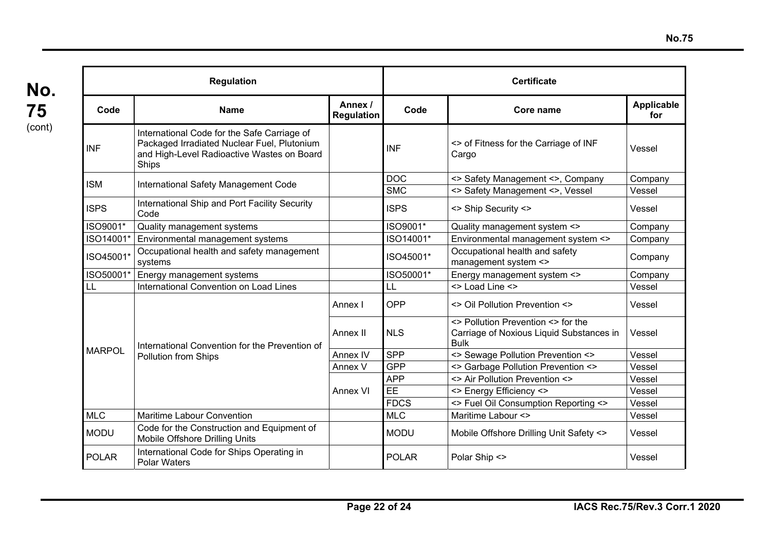| <b>Regulation</b> |                                                                                                                                                   |                              | <b>Certificate</b> |                                                                                               |                   |  |
|-------------------|---------------------------------------------------------------------------------------------------------------------------------------------------|------------------------------|--------------------|-----------------------------------------------------------------------------------------------|-------------------|--|
| Code              | <b>Name</b>                                                                                                                                       | Annex /<br><b>Regulation</b> | Code               | Core name                                                                                     | Applicable<br>for |  |
| <b>INF</b>        | International Code for the Safe Carriage of<br>Packaged Irradiated Nuclear Fuel, Plutonium<br>and High-Level Radioactive Wastes on Board<br>Ships |                              | <b>INF</b>         | <> of Fitness for the Carriage of INF<br>Cargo                                                | Vessel            |  |
|                   |                                                                                                                                                   |                              | <b>DOC</b>         | <> Safety Management <>, Company                                                              | Company           |  |
| ISM               | International Safety Management Code                                                                                                              |                              | <b>SMC</b>         | <> Safety Management <>, Vessel                                                               | Vessel            |  |
| <b>ISPS</b>       | International Ship and Port Facility Security<br>Code                                                                                             |                              | <b>ISPS</b>        | <> Ship Security <>                                                                           | Vessel            |  |
| ISO9001*          | Quality management systems                                                                                                                        |                              | ISO9001*           | Quality management system <>                                                                  | Company           |  |
| ISO14001*         | Environmental management systems                                                                                                                  |                              | ISO14001*          | Environmental management system <>                                                            | Company           |  |
| ISO45001*         | Occupational health and safety management<br>systems                                                                                              |                              | ISO45001*          | Occupational health and safety<br>management system <>                                        | Company           |  |
| ISO50001*         | Energy management systems                                                                                                                         |                              | ISO50001*          | Energy management system <>                                                                   | Company           |  |
| LL                | International Convention on Load Lines                                                                                                            |                              | LL                 | <> Load Line <>                                                                               | Vessel            |  |
|                   | International Convention for the Prevention of<br>Pollution from Ships                                                                            | Annex I                      | OPP                | <> Oil Pollution Prevention <>                                                                | Vessel            |  |
|                   |                                                                                                                                                   | Annex II                     | <b>NLS</b>         | <> Pollution Prevention <> for the<br>Carriage of Noxious Liquid Substances in<br><b>Bulk</b> | Vessel            |  |
| <b>MARPOL</b>     |                                                                                                                                                   | Annex IV                     | <b>SPP</b>         | <> Sewage Pollution Prevention <>                                                             | Vessel            |  |
|                   |                                                                                                                                                   | Annex V                      | <b>GPP</b>         | <> Garbage Pollution Prevention <>                                                            | Vessel            |  |
|                   |                                                                                                                                                   |                              | <b>APP</b>         | <> Air Pollution Prevention <>                                                                | Vessel            |  |
|                   |                                                                                                                                                   | Annex VI                     | EE                 | <> Energy Efficiency <>                                                                       | Vessel            |  |
|                   |                                                                                                                                                   |                              | <b>FDCS</b>        | <> Fuel Oil Consumption Reporting <>                                                          | Vessel            |  |
| <b>MLC</b>        | <b>Maritime Labour Convention</b>                                                                                                                 |                              | <b>MLC</b>         | Maritime Labour <>                                                                            | Vessel            |  |
| <b>MODU</b>       | Code for the Construction and Equipment of<br>Mobile Offshore Drilling Units                                                                      |                              | <b>MODU</b>        | Mobile Offshore Drilling Unit Safety <>                                                       | Vessel            |  |
| <b>POLAR</b>      | International Code for Ships Operating in<br><b>Polar Waters</b>                                                                                  |                              | <b>POLAR</b>       | Polar Ship <>                                                                                 | Vessel            |  |

**75**  (cont)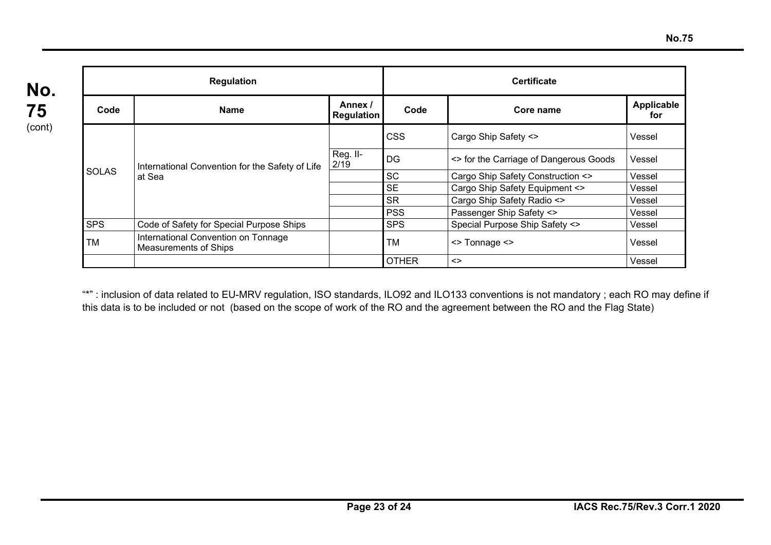| <b>Regulation</b> |                                                              |                              | <b>Certificate</b> |                                        |                   |  |
|-------------------|--------------------------------------------------------------|------------------------------|--------------------|----------------------------------------|-------------------|--|
| Code              | <b>Name</b>                                                  | Annex /<br><b>Regulation</b> | Code               | Core name                              | Applicable<br>for |  |
| <b>SOLAS</b>      | International Convention for the Safety of Life<br>at Sea    |                              | <b>CSS</b>         | Cargo Ship Safety <>                   | Vessel            |  |
|                   |                                                              | Reg. II-<br>2/19             | <b>DG</b>          | <> for the Carriage of Dangerous Goods | Vessel            |  |
|                   |                                                              |                              | <b>SC</b>          | Cargo Ship Safety Construction <>      | Vessel            |  |
|                   |                                                              |                              | <b>SE</b>          | Cargo Ship Safety Equipment <>         | Vessel            |  |
|                   |                                                              |                              | <b>SR</b>          | Cargo Ship Safety Radio <>             | Vessel            |  |
|                   |                                                              |                              | <b>PSS</b>         | Passenger Ship Safety <>               | Vessel            |  |
| <b>SPS</b>        | Code of Safety for Special Purpose Ships                     |                              | <b>SPS</b>         | Special Purpose Ship Safety <>         | Vessel            |  |
| TM                | International Convention on Tonnage<br>Measurements of Ships |                              | <b>TM</b>          | $\le$ Tonnage $\le$                    | Vessel            |  |
|                   |                                                              |                              | <b>OTHER</b>       | $\left\langle \right\rangle$           | Vessel            |  |

**75**  (cont)

> "\*": inclusion of data related to EU-MRV regulation, ISO standards, ILO92 and ILO133 conventions is not mandatory ; each RO may define if this data is to be included or not (based on the scope of work of the RO and the agreement between the RO and the Flag State)